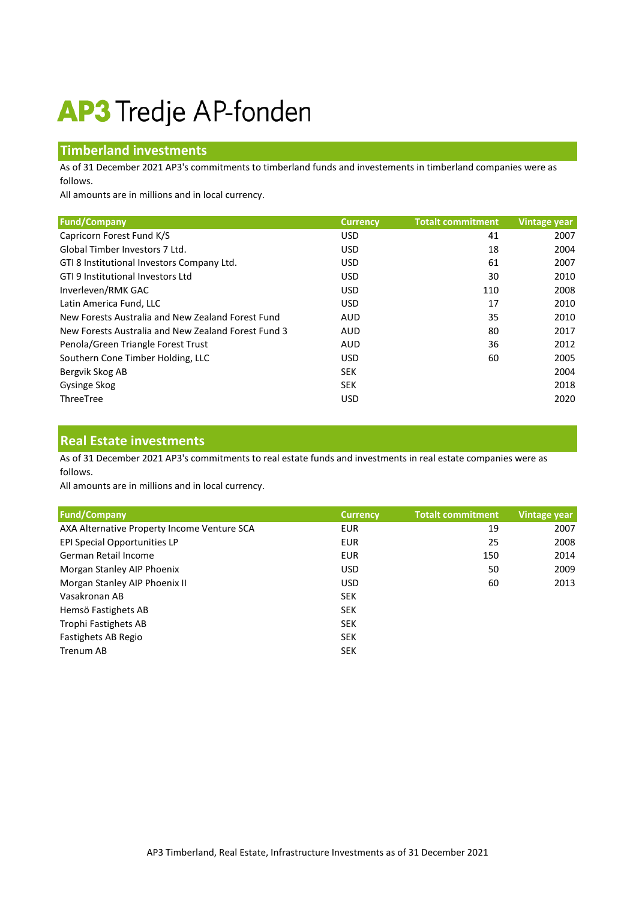# **AP3** Tredje AP-fonden

## **Timberland investments**

As of 31 December 2021 AP3's commitments to timberland funds and investements in timberland companies were as follows.

All amounts are in millions and in local currency.

| <b>Fund/Company</b>                                 | <b>Currency</b> | <b>Totalt commitment</b> | <b>Vintage year</b> |
|-----------------------------------------------------|-----------------|--------------------------|---------------------|
| Capricorn Forest Fund K/S                           | <b>USD</b>      | 41                       | 2007                |
| Global Timber Investors 7 Ltd.                      | <b>USD</b>      | 18                       | 2004                |
| GTI 8 Institutional Investors Company Ltd.          | <b>USD</b>      | 61                       | 2007                |
| GTI 9 Institutional Investors Ltd                   | <b>USD</b>      | 30                       | 2010                |
| Inverleven/RMK GAC                                  | <b>USD</b>      | 110                      | 2008                |
| Latin America Fund, LLC                             | <b>USD</b>      | 17                       | 2010                |
| New Forests Australia and New Zealand Forest Fund   | <b>AUD</b>      | 35                       | 2010                |
| New Forests Australia and New Zealand Forest Fund 3 | <b>AUD</b>      | 80                       | 2017                |
| Penola/Green Triangle Forest Trust                  | <b>AUD</b>      | 36                       | 2012                |
| Southern Cone Timber Holding, LLC                   | <b>USD</b>      | 60                       | 2005                |
| Bergvik Skog AB                                     | <b>SEK</b>      |                          | 2004                |
| Gysinge Skog                                        | <b>SEK</b>      |                          | 2018                |
| ThreeTree                                           | <b>USD</b>      |                          | 2020                |

#### **Real Estate investments**

As of 31 December 2021 AP3's commitments to real estate funds and investments in real estate companies were as follows.

All amounts are in millions and in local currency.

| <b>Fund/Company</b>                         | <b>Currency</b> | <b>Totalt commitment</b> | Vintage year |
|---------------------------------------------|-----------------|--------------------------|--------------|
| AXA Alternative Property Income Venture SCA | <b>EUR</b>      | 19                       | 2007         |
| EPI Special Opportunities LP                | <b>EUR</b>      | 25                       | 2008         |
| German Retail Income                        | <b>EUR</b>      | 150                      | 2014         |
| Morgan Stanley AIP Phoenix                  | <b>USD</b>      | 50                       | 2009         |
| Morgan Stanley AIP Phoenix II               | <b>USD</b>      | 60                       | 2013         |
| Vasakronan AB                               | <b>SEK</b>      |                          |              |
| Hemsö Fastighets AB                         | <b>SEK</b>      |                          |              |
| Trophi Fastighets AB                        | <b>SEK</b>      |                          |              |
| Fastighets AB Regio                         | <b>SEK</b>      |                          |              |
| Trenum AB                                   | <b>SEK</b>      |                          |              |